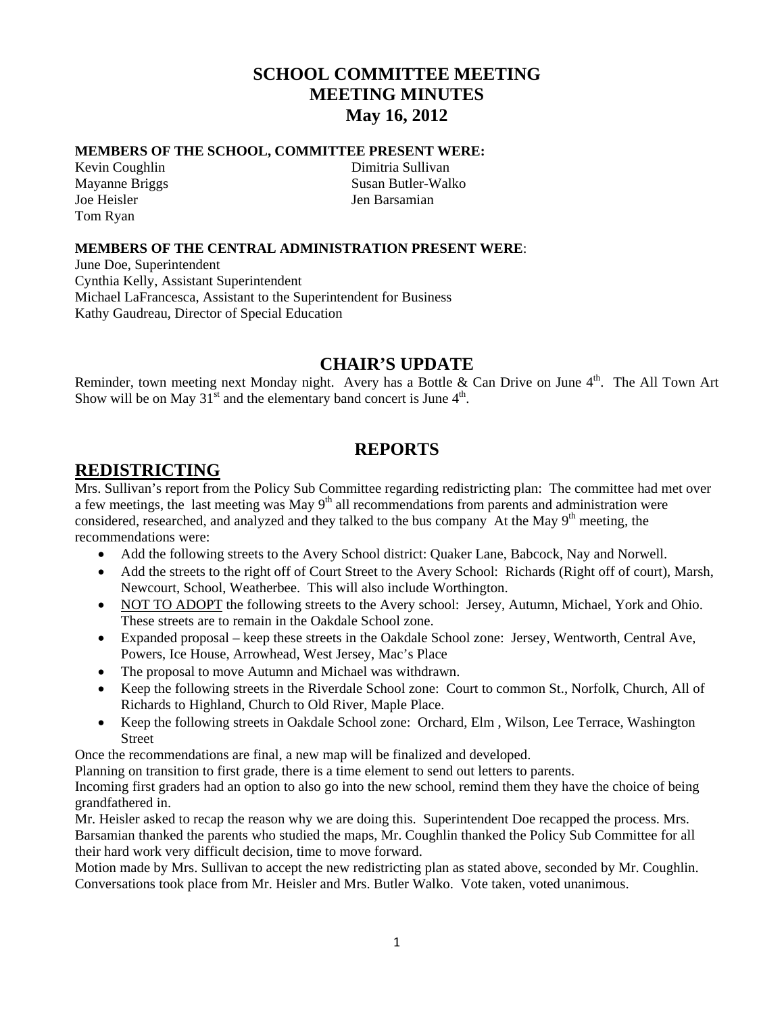# **SCHOOL COMMITTEE MEETING MEETING MINUTES May 16, 2012**

#### **MEMBERS OF THE SCHOOL, COMMITTEE PRESENT WERE:**

Joe Heisler Jen Barsamian Tom Ryan

Kevin Coughlin Dimitria Sullivan Mayanne Briggs Susan Butler-Walko

#### **MEMBERS OF THE CENTRAL ADMINISTRATION PRESENT WERE**:

June Doe, Superintendent Cynthia Kelly, Assistant Superintendent Michael LaFrancesca, Assistant to the Superintendent for Business Kathy Gaudreau, Director of Special Education

## **CHAIR'S UPDATE**

Reminder, town meeting next Monday night. Avery has a Bottle & Can Drive on June  $4<sup>th</sup>$ . The All Town Art Show will be on May  $31<sup>st</sup>$  and the elementary band concert is June  $4<sup>th</sup>$ .

# **REPORTS**

## **REDISTRICTING**

Mrs. Sullivan's report from the Policy Sub Committee regarding redistricting plan: The committee had met over a few meetings, the last meeting was May 9<sup>th</sup> all recommendations from parents and administration were considered, researched, and analyzed and they talked to the bus company At the May  $9<sup>th</sup>$  meeting, the recommendations were:

- Add the following streets to the Avery School district: Quaker Lane, Babcock, Nay and Norwell.
- Add the streets to the right off of Court Street to the Avery School: Richards (Right off of court), Marsh, Newcourt, School, Weatherbee. This will also include Worthington.
- NOT TO ADOPT the following streets to the Avery school: Jersey, Autumn, Michael, York and Ohio. These streets are to remain in the Oakdale School zone.
- Expanded proposal keep these streets in the Oakdale School zone: Jersey, Wentworth, Central Ave, Powers, Ice House, Arrowhead, West Jersey, Mac's Place
- The proposal to move Autumn and Michael was withdrawn.
- Keep the following streets in the Riverdale School zone: Court to common St., Norfolk, Church, All of Richards to Highland, Church to Old River, Maple Place.
- Keep the following streets in Oakdale School zone: Orchard, Elm , Wilson, Lee Terrace, Washington Street

Once the recommendations are final, a new map will be finalized and developed.

Planning on transition to first grade, there is a time element to send out letters to parents.

Incoming first graders had an option to also go into the new school, remind them they have the choice of being grandfathered in.

Mr. Heisler asked to recap the reason why we are doing this. Superintendent Doe recapped the process. Mrs. Barsamian thanked the parents who studied the maps, Mr. Coughlin thanked the Policy Sub Committee for all their hard work very difficult decision, time to move forward.

Motion made by Mrs. Sullivan to accept the new redistricting plan as stated above, seconded by Mr. Coughlin. Conversations took place from Mr. Heisler and Mrs. Butler Walko. Vote taken, voted unanimous.